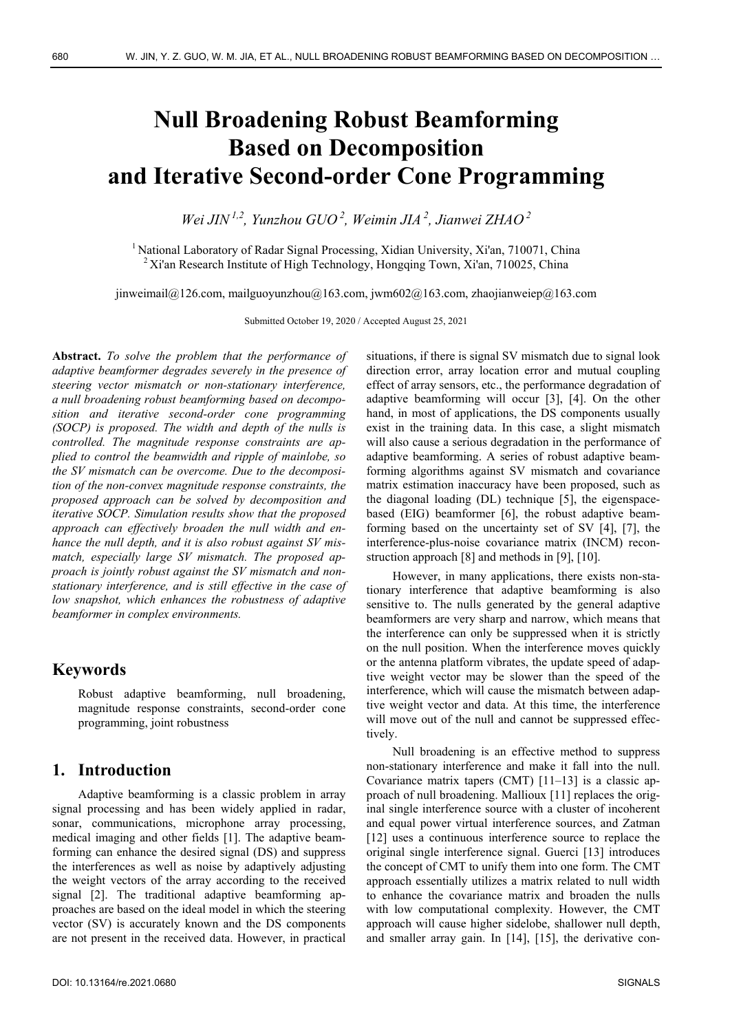# **Null Broadening Robust Beamforming Based on Decomposition and Iterative Second-order Cone Programming**

*Wei JIN 1,2, Yunzhou GUO 2, Weimin JIA 2, Jianwei ZHAO 2*

<sup>1</sup> National Laboratory of Radar Signal Processing, Xidian University, Xi'an, 710071, China  $2$  Xi'an Research Institute of High Technology, Hongqing Town, Xi'an, 710025, China

jinweimail $@126$ .com, mailguoyunzhou $@163$ .com, jwm602 $@163$ .com, zhaojianweiep $@163$ .com

Submitted October 19, 2020 / Accepted August 25, 2021

**Abstract.** *To solve the problem that the performance of adaptive beamformer degrades severely in the presence of steering vector mismatch or non-stationary interference, a null broadening robust beamforming based on decomposition and iterative second-order cone programming (SOCP) is proposed. The width and depth of the nulls is controlled. The magnitude response constraints are applied to control the beamwidth and ripple of mainlobe, so the SV mismatch can be overcome. Due to the decomposition of the non-convex magnitude response constraints, the proposed approach can be solved by decomposition and iterative SOCP. Simulation results show that the proposed approach can effectively broaden the null width and enhance the null depth, and it is also robust against SV mismatch, especially large SV mismatch. The proposed approach is jointly robust against the SV mismatch and nonstationary interference, and is still effective in the case of low snapshot, which enhances the robustness of adaptive beamformer in complex environments.* 

# **Keywords**

Robust adaptive beamforming, null broadening, magnitude response constraints, second-order cone programming, joint robustness

# **1. Introduction**

Adaptive beamforming is a classic problem in array signal processing and has been widely applied in radar, sonar, communications, microphone array processing, medical imaging and other fields [1]. The adaptive beamforming can enhance the desired signal (DS) and suppress the interferences as well as noise by adaptively adjusting the weight vectors of the array according to the received signal [2]. The traditional adaptive beamforming approaches are based on the ideal model in which the steering vector (SV) is accurately known and the DS components are not present in the received data. However, in practical

situations, if there is signal SV mismatch due to signal look direction error, array location error and mutual coupling effect of array sensors, etc., the performance degradation of adaptive beamforming will occur [3], [4]. On the other hand, in most of applications, the DS components usually exist in the training data. In this case, a slight mismatch will also cause a serious degradation in the performance of adaptive beamforming. A series of robust adaptive beamforming algorithms against SV mismatch and covariance matrix estimation inaccuracy have been proposed, such as the diagonal loading (DL) technique [5], the eigenspacebased (EIG) beamformer [6], the robust adaptive beamforming based on the uncertainty set of SV [4], [7], the interference-plus-noise covariance matrix (INCM) reconstruction approach [8] and methods in [9], [10].

However, in many applications, there exists non-stationary interference that adaptive beamforming is also sensitive to. The nulls generated by the general adaptive beamformers are very sharp and narrow, which means that the interference can only be suppressed when it is strictly on the null position. When the interference moves quickly or the antenna platform vibrates, the update speed of adaptive weight vector may be slower than the speed of the interference, which will cause the mismatch between adaptive weight vector and data. At this time, the interference will move out of the null and cannot be suppressed effectively.

Null broadening is an effective method to suppress non-stationary interference and make it fall into the null. Covariance matrix tapers (CMT) [11–13] is a classic approach of null broadening. Mallioux [11] replaces the original single interference source with a cluster of incoherent and equal power virtual interference sources, and Zatman [12] uses a continuous interference source to replace the original single interference signal. Guerci [13] introduces the concept of CMT to unify them into one form. The CMT approach essentially utilizes a matrix related to null width to enhance the covariance matrix and broaden the nulls with low computational complexity. However, the CMT approach will cause higher sidelobe, shallower null depth, and smaller array gain. In [14], [15], the derivative con-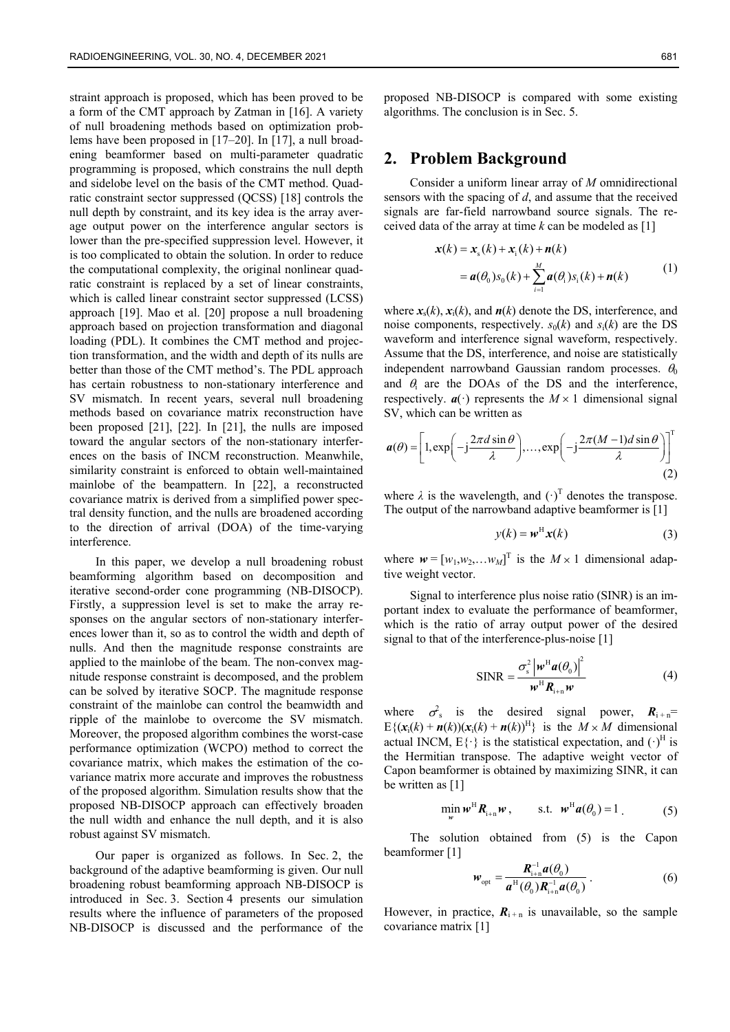straint approach is proposed, which has been proved to be a form of the CMT approach by Zatman in [16]. A variety of null broadening methods based on optimization problems have been proposed in [17–20]. In [17], a null broadening beamformer based on multi-parameter quadratic programming is proposed, which constrains the null depth and sidelobe level on the basis of the CMT method. Quadratic constraint sector suppressed (QCSS) [18] controls the null depth by constraint, and its key idea is the array average output power on the interference angular sectors is lower than the pre-specified suppression level. However, it is too complicated to obtain the solution. In order to reduce the computational complexity, the original nonlinear quadratic constraint is replaced by a set of linear constraints, which is called linear constraint sector suppressed (LCSS) approach [19]. Mao et al. [20] propose a null broadening approach based on projection transformation and diagonal loading (PDL). It combines the CMT method and projection transformation, and the width and depth of its nulls are better than those of the CMT method's. The PDL approach has certain robustness to non-stationary interference and SV mismatch. In recent years, several null broadening methods based on covariance matrix reconstruction have been proposed [21], [22]. In [21], the nulls are imposed toward the angular sectors of the non-stationary interferences on the basis of INCM reconstruction. Meanwhile, similarity constraint is enforced to obtain well-maintained mainlobe of the beampattern. In [22], a reconstructed covariance matrix is derived from a simplified power spectral density function, and the nulls are broadened according to the direction of arrival (DOA) of the time-varying interference.

In this paper, we develop a null broadening robust beamforming algorithm based on decomposition and iterative second-order cone programming (NB-DISOCP). Firstly, a suppression level is set to make the array responses on the angular sectors of non-stationary interferences lower than it, so as to control the width and depth of nulls. And then the magnitude response constraints are applied to the mainlobe of the beam. The non-convex magnitude response constraint is decomposed, and the problem can be solved by iterative SOCP. The magnitude response constraint of the mainlobe can control the beamwidth and ripple of the mainlobe to overcome the SV mismatch. Moreover, the proposed algorithm combines the worst-case performance optimization (WCPO) method to correct the covariance matrix, which makes the estimation of the covariance matrix more accurate and improves the robustness of the proposed algorithm. Simulation results show that the proposed NB-DISOCP approach can effectively broaden the null width and enhance the null depth, and it is also robust against SV mismatch.

Our paper is organized as follows. In Sec. 2, the background of the adaptive beamforming is given. Our null broadening robust beamforming approach NB-DISOCP is introduced in Sec. 3. Section 4 presents our simulation results where the influence of parameters of the proposed NB-DISOCP is discussed and the performance of the

proposed NB-DISOCP is compared with some existing algorithms. The conclusion is in Sec. 5.

#### **2. Problem Background**

Consider a uniform linear array of *M* omnidirectional sensors with the spacing of *d*, and assume that the received signals are far-field narrowband source signals. The received data of the array at time *k* can be modeled as [1]

$$
\mathbf{x}(k) = \mathbf{x}_s(k) + \mathbf{x}_i(k) + \mathbf{n}(k)
$$
  
=  $\mathbf{a}(\theta_0) s_0(k) + \sum_{i=1}^{M} \mathbf{a}(\theta_i) s_i(k) + \mathbf{n}(k)$  (1)

where  $x_s(k)$ ,  $x_i(k)$ , and  $n(k)$  denote the DS, interference, and noise components, respectively.  $s_0(k)$  and  $s_i(k)$  are the DS waveform and interference signal waveform, respectively. Assume that the DS, interference, and noise are statistically independent narrowband Gaussian random processes.  $\theta_0$ and  $\theta_i$  are the DOAs of the DS and the interference, respectively.  $\mathbf{a}(\cdot)$  represents the  $M \times 1$  dimensional signal SV, which can be written as

$$
\boldsymbol{a}(\theta) = \left[1, \exp\left(-j\frac{2\pi d \sin \theta}{\lambda}\right), \dots, \exp\left(-j\frac{2\pi (M-1)d \sin \theta}{\lambda}\right)\right]^{\mathrm{T}} \tag{2}
$$

where  $\lambda$  is the wavelength, and  $(\cdot)^T$  denotes the transpose. The output of the narrowband adaptive beamformer is [1]

$$
y(k) = w^{\mathrm{H}} x(k) \tag{3}
$$

where  $w = [w_1, w_2, \dots w_M]^T$  is the  $M \times 1$  dimensional adaptive weight vector.

Signal to interference plus noise ratio (SINR) is an important index to evaluate the performance of beamformer, which is the ratio of array output power of the desired signal to that of the interference-plus-noise [1]

$$
\text{SINR} = \frac{\sigma_{\text{s}}^2 \left| \boldsymbol{w}^{\text{H}} \boldsymbol{a}(\theta_0) \right|^2}{\boldsymbol{w}^{\text{H}} \boldsymbol{R}_{\text{i+n}} \boldsymbol{w}}
$$
(4)

where  $\sigma_s^2$  is the desired signal power,  $R_{i+n}$ =  $E\{(\mathbf{x}_i(k) + \mathbf{n}(k))(\mathbf{x}_i(k) + \mathbf{n}(k))^H\}$  is the  $M \times M$  dimensional actual INCM,  $E\{\cdot\}$  is the statistical expectation, and  $(\cdot)^{H}$  is the Hermitian transpose. The adaptive weight vector of Capon beamformer is obtained by maximizing SINR, it can be written as [1]

$$
\min_{\mathbf{w}} \mathbf{w}^{\mathrm{H}} \mathbf{R}_{i+n} \mathbf{w}, \qquad \text{s.t.} \quad \mathbf{w}^{\mathrm{H}} \mathbf{a}(\theta_0) = 1 \tag{5}
$$

The solution obtained from (5) is the Capon beamformer [1]

$$
\boldsymbol{w}_{\text{opt}} = \frac{\boldsymbol{R}_{i+n}^{-1} \boldsymbol{a}(\theta_0)}{\boldsymbol{a}^H(\theta_0) \boldsymbol{R}_{i+n}^{-1} \boldsymbol{a}(\theta_0)}.
$$
 (6)

However, in practice,  $\mathbf{R}_{i+n}$  is unavailable, so the sample covariance matrix [1]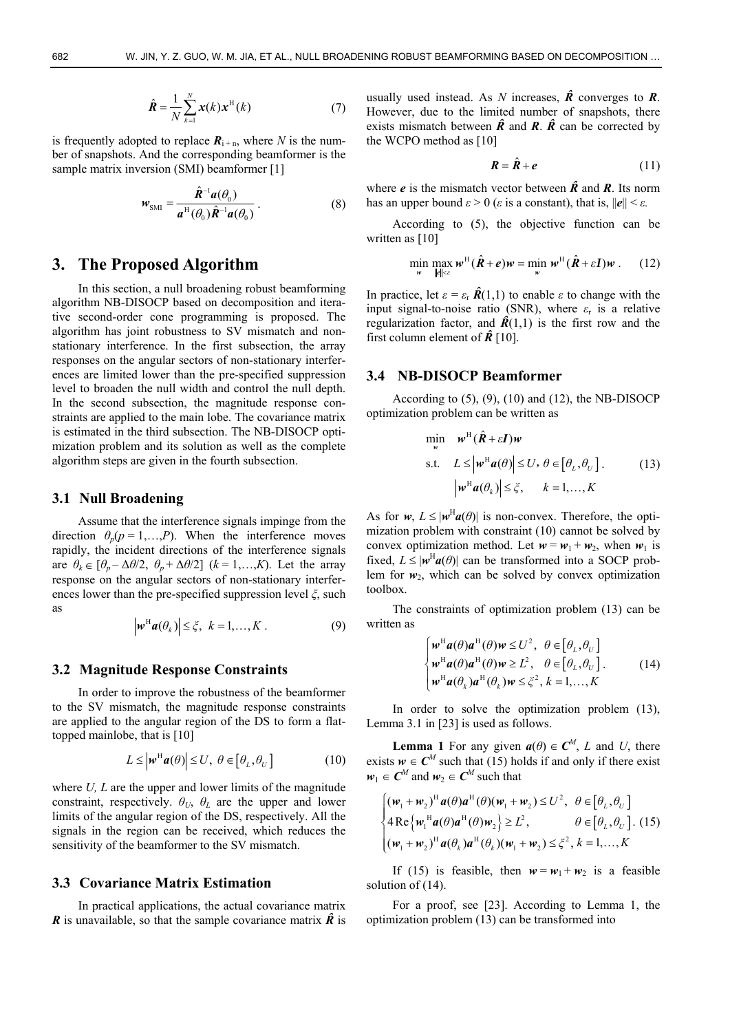$$
\hat{\boldsymbol{R}} = \frac{1}{N} \sum_{k=1}^{N} \boldsymbol{x}(k) \boldsymbol{x}^{\mathrm{H}}(k)
$$
\n(7)

is frequently adopted to replace  $\mathbf{R}_{i+n}$ , where *N* is the number of snapshots. And the corresponding beamformer is the sample matrix inversion (SMI) beamformer [1]

$$
w_{\rm SMI} = \frac{\hat{\mathbf{R}}^{-1} a(\theta_0)}{a^{\rm H}(\theta_0) \hat{\mathbf{R}}^{-1} a(\theta_0)}.
$$
 (8)

# **3. The Proposed Algorithm**

In this section, a null broadening robust beamforming algorithm NB-DISOCP based on decomposition and iterative second-order cone programming is proposed. The algorithm has joint robustness to SV mismatch and nonstationary interference. In the first subsection, the array responses on the angular sectors of non-stationary interferences are limited lower than the pre-specified suppression level to broaden the null width and control the null depth. In the second subsection, the magnitude response constraints are applied to the main lobe. The covariance matrix is estimated in the third subsection. The NB-DISOCP optimization problem and its solution as well as the complete algorithm steps are given in the fourth subsection.

#### **3.1 Null Broadening**

Assume that the interference signals impinge from the direction  $\theta_p(p=1,...,P)$ . When the interference moves rapidly, the incident directions of the interference signals are  $\theta_k \in [\theta_p - \Delta\theta/2, \ \theta_p + \Delta\theta/2]$   $(k = 1, \ldots, K)$ . Let the array response on the angular sectors of non-stationary interferences lower than the pre-specified suppression level *ξ*, such as  $|\mathbf{w}^{\mathrm{H}}\mathbf{a}(\theta_k)| \leq \xi, \ k = 1, ..., K$  . (9)

$$
\left|\boldsymbol{w}^{\mathrm{H}}\boldsymbol{a}(\theta_k)\right| \leq \zeta, \ k = 1, \ldots, K. \tag{9}
$$

#### **3.2 Magnitude Response Constraints**

In order to improve the robustness of the beamformer to the SV mismatch, the magnitude response constraints are applied to the angular region of the DS to form a flattopped mainlobe, that is [10]

$$
L \leq |\boldsymbol{w}^{\mathrm{H}}\boldsymbol{a}(\theta)| \leq U, \ \theta \in [\theta_L, \theta_U] \tag{10}
$$

where *U*, *L* are the upper and lower limits of the magnitude constraint, respectively.  $\theta_U$ ,  $\theta_L$  are the upper and lower limits of the angular region of the DS, respectively. All the signals in the region can be received, which reduces the sensitivity of the beamformer to the SV mismatch.

#### **3.3 Covariance Matrix Estimation**

In practical applications, the actual covariance matrix *R* is unavailable, so that the sample covariance matrix  $\hat{R}$  is usually used instead. As *N* increases,  $\hat{R}$  converges to  $R$ . However, due to the limited number of snapshots, there exists mismatch between  $\hat{R}$  and  $R$ .  $\hat{R}$  can be corrected by the WCPO method as [10]

$$
R = \hat{R} + e \tag{11}
$$

where *e* is the mismatch vector between  $\hat{R}$  and  $R$ . Its norm has an upper bound  $\varepsilon > 0$  ( $\varepsilon$  is a constant), that is,  $||e|| < \varepsilon$ .

According to (5), the objective function can be written as [10]

$$
\min_{w} \max_{\|\boldsymbol{\ell}\| \leq \varepsilon} w^{\mathrm{H}} \left( \hat{\boldsymbol{R}} + \boldsymbol{e} \right) w = \min_{w} w^{\mathrm{H}} \left( \hat{\boldsymbol{R}} + \varepsilon \mathbf{I} \right) w \ . \tag{12}
$$

In practice, let  $\epsilon = \epsilon_r \hat{\mathbf{R}}(1,1)$  to enable *ε* to change with the input signal-to-noise ratio (SNR), where  $\varepsilon_r$  is a relative regularization factor, and  $\hat{R}(1,1)$  is the first row and the first column element of  $\hat{R}$ <sup>[10]</sup>.

#### **3.4 NB-DISOCP Beamformer**

According to  $(5)$ ,  $(9)$ ,  $(10)$  and  $(12)$ , the NB-DISOCP optimization problem can be written as

$$
\min_{w} \quad w^{\mathrm{H}}(\hat{\mathbf{R}} + \varepsilon \mathbf{I})w
$$
\n
$$
\text{s.t.} \quad L \leq |w^{\mathrm{H}}a(\theta)| \leq U, \ \theta \in [\theta_L, \theta_U]. \tag{13}
$$
\n
$$
|w^{\mathrm{H}}a(\theta_k)| \leq \xi, \quad k = 1, ..., K
$$

As for  $w, L \leq |w^{\text{H}} a(\theta)|$  is non-convex. Therefore, the optimization problem with constraint (10) cannot be solved by convex optimization method. Let  $w = w_1 + w_2$ , when  $w_1$  is fixed,  $L \leq |w^H a(\theta)|$  can be transformed into a SOCP problem for  $w_2$ , which can be solved by convex optimization toolbox.

The constraints of optimization problem (13) can be written as

$$
\begin{cases}\n\mathbf{w}^{\mathrm{H}}\mathbf{a}(\theta)\mathbf{a}^{\mathrm{H}}(\theta)\mathbf{w} \leq U^{2}, \ \theta \in [\theta_{L}, \theta_{U}] \\
\mathbf{w}^{\mathrm{H}}\mathbf{a}(\theta)\mathbf{a}^{\mathrm{H}}(\theta)\mathbf{w} \geq L^{2}, \ \theta \in [\theta_{L}, \theta_{U}]. \\
\mathbf{w}^{\mathrm{H}}\mathbf{a}(\theta_{k})\mathbf{a}^{\mathrm{H}}(\theta_{k})\mathbf{w} \leq \xi^{2}, k = 1, ..., K\n\end{cases}
$$
\n(14)

In order to solve the optimization problem (13), Lemma 3.1 in [23] is used as follows.

**Lemma 1** For any given  $a(\theta) \in C^M$ , *L* and *U*, there exists  $w \in C^M$  such that (15) holds if and only if there exist  $w_1 \in C^M$  and  $w_2 \in C^M$  such that

$$
\begin{cases}\n(\mathbf{w}_1 + \mathbf{w}_2)^H \mathbf{a}(\theta) \mathbf{a}^H(\theta) (\mathbf{w}_1 + \mathbf{w}_2) \le U^2, & \theta \in [\theta_L, \theta_U] \\
4 \operatorname{Re} \{\mathbf{w}_1^H \mathbf{a}(\theta) \mathbf{a}^H(\theta) \mathbf{w}_2\} \ge L^2, & \theta \in [\theta_L, \theta_U] . \text{ (15)} \\
(\mathbf{w}_1 + \mathbf{w}_2)^H \mathbf{a}(\theta_k) \mathbf{a}^H(\theta_k) (\mathbf{w}_1 + \mathbf{w}_2) \le \xi^2, k = 1, ..., K\n\end{cases}
$$

If (15) is feasible, then  $w = w_1 + w_2$  is a feasible solution of  $(14)$ .

For a proof, see [23]. According to Lemma 1, the optimization problem (13) can be transformed into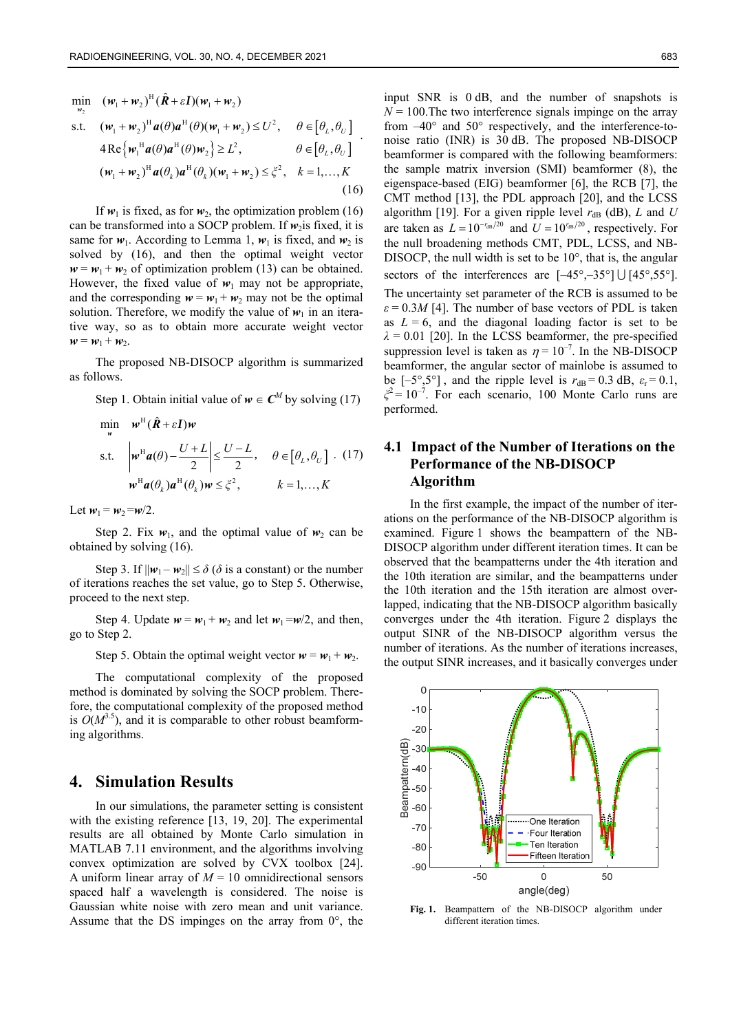$$
\min_{w_2} \quad (\mathbf{w}_1 + \mathbf{w}_2)^H (\hat{\mathbf{R}} + \varepsilon \mathbf{I}) (\mathbf{w}_1 + \mathbf{w}_2)
$$
\n
$$
\text{s.t.} \quad (\mathbf{w}_1 + \mathbf{w}_2)^H \mathbf{a}(\theta) \mathbf{a}^H(\theta) (\mathbf{w}_1 + \mathbf{w}_2) \le U^2, \quad \theta \in [\theta_L, \theta_U]
$$
\n
$$
4 \operatorname{Re} \{ \mathbf{w}_1^H \mathbf{a}(\theta) \mathbf{a}^H(\theta) \mathbf{w}_2 \} \ge L^2, \qquad \theta \in [\theta_L, \theta_U]
$$
\n
$$
(\mathbf{w}_1 + \mathbf{w}_2)^H \mathbf{a}(\theta_k) \mathbf{a}^H(\theta_k) (\mathbf{w}_1 + \mathbf{w}_2) \le \xi^2, \quad k = 1, ..., K
$$
\n(16)

.

If  $w_1$  is fixed, as for  $w_2$ , the optimization problem (16) can be transformed into a SOCP problem. If  $w_2$  is fixed, it is same for  $w_1$ . According to Lemma 1,  $w_1$  is fixed, and  $w_2$  is solved by (16), and then the optimal weight vector  $w = w_1 + w_2$  of optimization problem (13) can be obtained. However, the fixed value of  $w_1$  may not be appropriate, and the corresponding  $w = w_1 + w_2$  may not be the optimal solution. Therefore, we modify the value of  $w_1$  in an iterative way, so as to obtain more accurate weight vector  $w = w_1 + w_2$ .

The proposed NB-DISOCP algorithm is summarized as follows.

Step 1. Obtain initial value of  $w \in C^M$  by solving (17)

$$
\min_{w} \quad w^{\mathrm{H}}(\hat{\mathbf{R}} + \varepsilon \mathbf{I})w
$$
\n
$$
\text{s.t.} \quad \left| w^{\mathrm{H}} \mathbf{a}(\theta) - \frac{U + L}{2} \right| \le \frac{U - L}{2}, \quad \theta \in [\theta_L, \theta_U] \quad (17)
$$
\n
$$
w^{\mathrm{H}} \mathbf{a}(\theta_k) \mathbf{a}^{\mathrm{H}}(\theta_k) w \le \xi^2, \qquad k = 1, ..., K
$$

Let  $w_1 = w_2 = w/2$ .

Step 2. Fix  $w_1$ , and the optimal value of  $w_2$  can be obtained by solving (16).

Step 3. If  $\|\mathbf{w}_1 - \mathbf{w}_2\| \le \delta$  ( $\delta$  is a constant) or the number of iterations reaches the set value, go to Step 5. Otherwise, proceed to the next step.

Step 4. Update  $w = w_1 + w_2$  and let  $w_1 = w/2$ , and then, go to Step 2.

Step 5. Obtain the optimal weight vector  $w = w_1 + w_2$ .

The computational complexity of the proposed method is dominated by solving the SOCP problem. Therefore, the computational complexity of the proposed method is  $O(M^{3.5})$ , and it is comparable to other robust beamforming algorithms.

### **4. Simulation Results**

In our simulations, the parameter setting is consistent with the existing reference [13, 19, 20]. The experimental results are all obtained by Monte Carlo simulation in MATLAB 7.11 environment, and the algorithms involving convex optimization are solved by CVX toolbox [24]. A uniform linear array of  $M = 10$  omnidirectional sensors spaced half a wavelength is considered. The noise is Gaussian white noise with zero mean and unit variance. Assume that the DS impinges on the array from  $0^{\circ}$ , the

input SNR is 0 dB, and the number of snapshots is  $N = 100$ . The two interference signals impinge on the array from –40° and 50° respectively, and the interference-tonoise ratio (INR) is 30 dB. The proposed NB-DISOCP beamformer is compared with the following beamformers: the sample matrix inversion (SMI) beamformer (8), the eigenspace-based (EIG) beamformer [6], the RCB [7], the CMT method [13], the PDL approach [20], and the LCSS algorithm [19]. For a given ripple level  $r_{dB}$  (dB), *L* and *U* are taken as  $L = 10^{-r_{dB}/20}$  and  $U = 10^{r_{dB}/20}$ , respectively. For the null broadening methods CMT, PDL, LCSS, and NB-DISOCP, the null width is set to be 10°, that is, the angular sectors of the interferences are  $[-45^{\circ}, -35^{\circ}] \cup [45^{\circ}, 55^{\circ}]$ . The uncertainty set parameter of the RCB is assumed to be  $\epsilon$  = 0.3*M* [4]. The number of base vectors of PDL is taken as  $L = 6$ , and the diagonal loading factor is set to be  $\lambda = 0.01$  [20]. In the LCSS beamformer, the pre-specified suppression level is taken as  $\eta = 10^{-7}$ . In the NB-DISOCP beamformer, the angular sector of mainlobe is assumed to be  $[-5^{\circ}, 5^{\circ}]$ , and the ripple level is  $r_{dB} = 0.3$  dB,  $\varepsilon_r = 0.1$ ,  $\zeta^2 = 10^{-7}$ . For each scenario, 100 Monte Carlo runs are performed.

### **4.1 Impact of the Number of Iterations on the Performance of the NB-DISOCP Algorithm**

In the first example, the impact of the number of iterations on the performance of the NB-DISOCP algorithm is examined. Figure 1 shows the beampattern of the NB-DISOCP algorithm under different iteration times. It can be observed that the beampatterns under the 4th iteration and the 10th iteration are similar, and the beampatterns under the 10th iteration and the 15th iteration are almost overlapped, indicating that the NB-DISOCP algorithm basically converges under the 4th iteration. Figure 2 displays the output SINR of the NB-DISOCP algorithm versus the number of iterations. As the number of iterations increases, the output SINR increases, and it basically converges under



**Fig. 1.** Beampattern of the NB-DISOCP algorithm under different iteration times.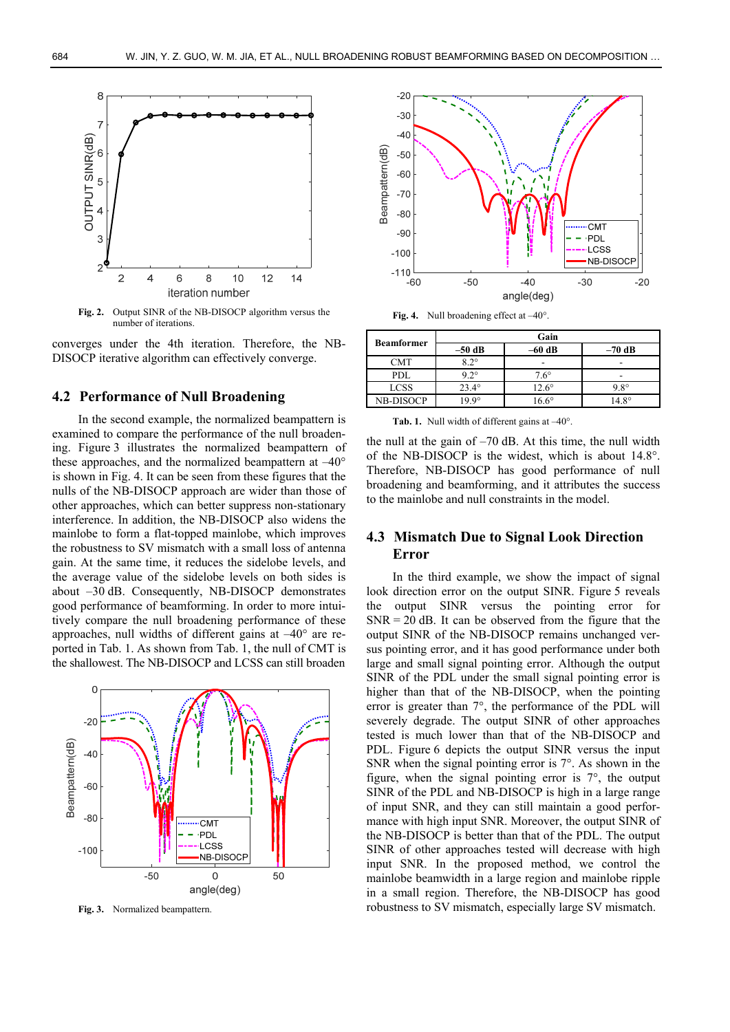

**Fig. 2.** Output SINR of the NB-DISOCP algorithm versus the number of iterations.

converges under the 4th iteration. Therefore, the NB-DISOCP iterative algorithm can effectively converge.

#### **4.2 Performance of Null Broadening**

In the second example, the normalized beampattern is examined to compare the performance of the null broadening. Figure 3 illustrates the normalized beampattern of these approaches, and the normalized beampattern at –40° is shown in Fig. 4. It can be seen from these figures that the nulls of the NB-DISOCP approach are wider than those of other approaches, which can better suppress non-stationary interference. In addition, the NB-DISOCP also widens the mainlobe to form a flat-topped mainlobe, which improves the robustness to SV mismatch with a small loss of antenna gain. At the same time, it reduces the sidelobe levels, and the average value of the sidelobe levels on both sides is about –30 dB. Consequently, NB-DISOCP demonstrates good performance of beamforming. In order to more intuitively compare the null broadening performance of these approaches, null widths of different gains at –40° are reported in Tab. 1. As shown from Tab. 1, the null of CMT is the shallowest. The NB-DISOCP and LCSS can still broaden



**Fig. 3.** Normalized beampattern.



Fig. 4. Null broadening effect at  $-40^{\circ}$ 

| <b>Beamformer</b> | Gain           |              |              |
|-------------------|----------------|--------------|--------------|
|                   | $-50$ dB       | $-60$ dB     | $-70$ dB     |
| CMT               | $82^\circ$     |              |              |
| PDL               | $9.2^\circ$    | $7.6^\circ$  |              |
| <b>LCSS</b>       | $23.4^{\circ}$ | $12.6^\circ$ | $98^\circ$   |
| NB-DISOCP         | $9.9^\circ$    | $6.6^\circ$  | $14.8^\circ$ |

Tab. 1. Null width of different gains at  $-40^{\circ}$ .

the null at the gain of –70 dB. At this time, the null width of the NB-DISOCP is the widest, which is about 14.8°. Therefore, NB-DISOCP has good performance of null broadening and beamforming, and it attributes the success to the mainlobe and null constraints in the model.

### **4.3 Mismatch Due to Signal Look Direction Error**

In the third example, we show the impact of signal look direction error on the output SINR. Figure 5 reveals the output SINR versus the pointing error for  $SNR = 20$  dB. It can be observed from the figure that the output SINR of the NB-DISOCP remains unchanged versus pointing error, and it has good performance under both large and small signal pointing error. Although the output SINR of the PDL under the small signal pointing error is higher than that of the NB-DISOCP, when the pointing error is greater than 7°, the performance of the PDL will severely degrade. The output SINR of other approaches tested is much lower than that of the NB-DISOCP and PDL. Figure 6 depicts the output SINR versus the input SNR when the signal pointing error is  $7^\circ$ . As shown in the figure, when the signal pointing error is 7°, the output SINR of the PDL and NB-DISOCP is high in a large range of input SNR, and they can still maintain a good performance with high input SNR. Moreover, the output SINR of the NB-DISOCP is better than that of the PDL. The output SINR of other approaches tested will decrease with high input SNR. In the proposed method, we control the mainlobe beamwidth in a large region and mainlobe ripple in a small region. Therefore, the NB-DISOCP has good robustness to SV mismatch, especially large SV mismatch.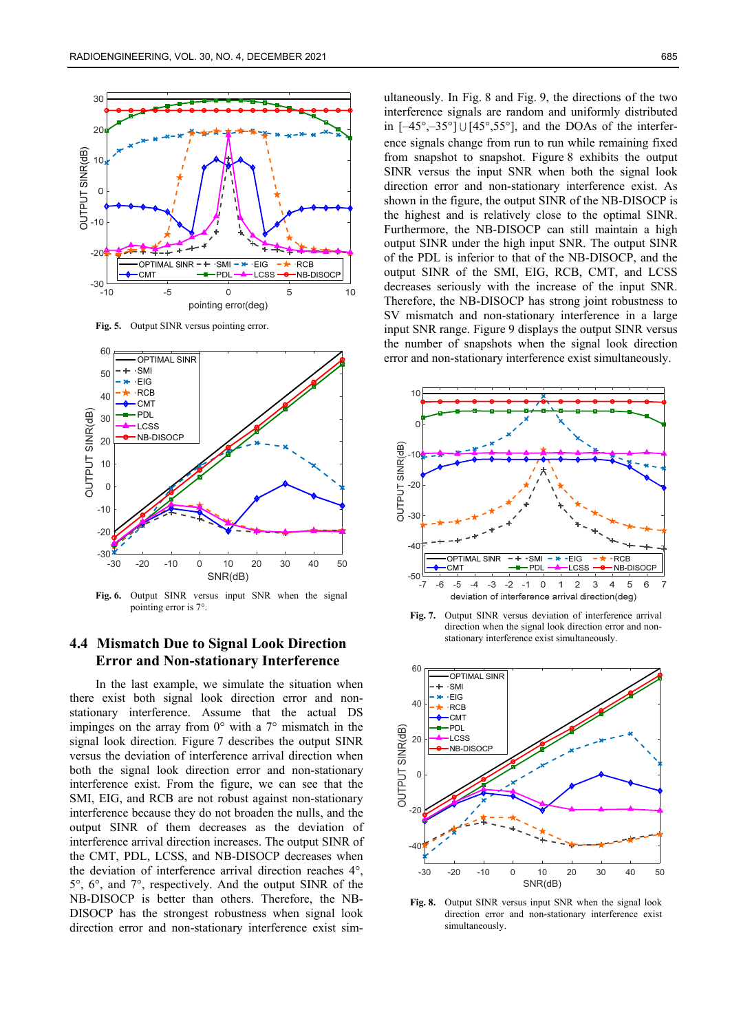

**Fig. 5.** Output SINR versus pointing error.



**Fig. 6.** Output SINR versus input SNR when the signal pointing error is 7°.

#### **4.4 Mismatch Due to Signal Look Direction Error and Non-stationary Interference**

In the last example, we simulate the situation when there exist both signal look direction error and nonstationary interference. Assume that the actual DS impinges on the array from  $0^{\circ}$  with a  $7^{\circ}$  mismatch in the signal look direction. Figure 7 describes the output SINR versus the deviation of interference arrival direction when both the signal look direction error and non-stationary interference exist. From the figure, we can see that the SMI, EIG, and RCB are not robust against non-stationary interference because they do not broaden the nulls, and the output SINR of them decreases as the deviation of interference arrival direction increases. The output SINR of the CMT, PDL, LCSS, and NB-DISOCP decreases when the deviation of interference arrival direction reaches 4°, 5°, 6°, and 7°, respectively. And the output SINR of the NB-DISOCP is better than others. Therefore, the NB-DISOCP has the strongest robustness when signal look direction error and non-stationary interference exist sim-

ultaneously. In Fig. 8 and Fig. 9, the directions of the two interference signals are random and uniformly distributed in  $[-45^{\circ}, -35^{\circ}] \cup [45^{\circ}, 55^{\circ}]$ , and the DOAs of the interference signals change from run to run while remaining fixed from snapshot to snapshot. Figure 8 exhibits the output SINR versus the input SNR when both the signal look direction error and non-stationary interference exist. As shown in the figure, the output SINR of the NB-DISOCP is the highest and is relatively close to the optimal SINR. Furthermore, the NB-DISOCP can still maintain a high output SINR under the high input SNR. The output SINR of the PDL is inferior to that of the NB-DISOCP, and the output SINR of the SMI, EIG, RCB, CMT, and LCSS decreases seriously with the increase of the input SNR. Therefore, the NB-DISOCP has strong joint robustness to SV mismatch and non-stationary interference in a large input SNR range. Figure 9 displays the output SINR versus the number of snapshots when the signal look direction error and non-stationary interference exist simultaneously.



**Fig. 7.** Output SINR versus deviation of interference arrival direction when the signal look direction error and nonstationary interference exist simultaneously.



**Fig. 8.** Output SINR versus input SNR when the signal look direction error and non-stationary interference exist simultaneously.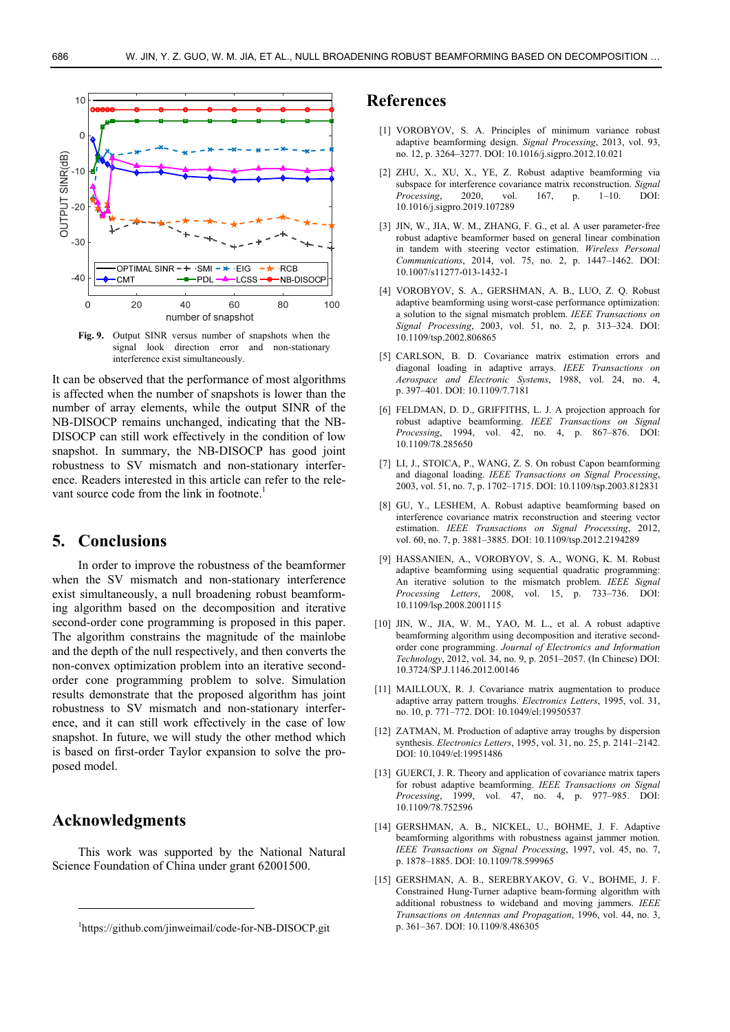

**Fig. 9.** Output SINR versus number of snapshots when the signal look direction error and non-stationary interference exist simultaneously.

It can be observed that the performance of most algorithms is affected when the number of snapshots is lower than the number of array elements, while the output SINR of the NB-DISOCP remains unchanged, indicating that the NB-DISOCP can still work effectively in the condition of low snapshot. In summary, the NB-DISOCP has good joint robustness to SV mismatch and non-stationary interference. Readers interested in this article can refer to the relevant source code from the link in footnote.<sup>1</sup>

#### **5. Conclusions**

In order to improve the robustness of the beamformer when the SV mismatch and non-stationary interference exist simultaneously, a null broadening robust beamforming algorithm based on the decomposition and iterative second-order cone programming is proposed in this paper. The algorithm constrains the magnitude of the mainlobe and the depth of the null respectively, and then converts the non-convex optimization problem into an iterative secondorder cone programming problem to solve. Simulation results demonstrate that the proposed algorithm has joint robustness to SV mismatch and non-stationary interference, and it can still work effectively in the case of low snapshot. In future, we will study the other method which is based on first-order Taylor expansion to solve the proposed model.

# **Acknowledgments**

-

This work was supported by the National Natural Science Foundation of China under grant 62001500.

### **References**

- [1] VOROBYOV, S. A. Principles of minimum variance robust adaptive beamforming design. *Signal Processing*, 2013, vol. 93, no. 12, p. 3264–3277. DOI: 10.1016/j.sigpro.2012.10.021
- [2] ZHU, X., XU, X., YE, Z. Robust adaptive beamforming via subspace for interference covariance matrix reconstruction. *Signal Processing*, 2020, vol. 167, p. 1–10. DOI: 10.1016/j.sigpro.2019.107289
- [3] JIN, W., JIA, W. M., ZHANG, F. G., et al. A user parameter-free robust adaptive beamformer based on general linear combination in tandem with steering vector estimation. *Wireless Personal Communications*, 2014, vol. 75, no. 2, p. 1447–1462. DOI: 10.1007/s11277-013-1432-1
- [4] VOROBYOV, S. A., GERSHMAN, A. B., LUO, Z. Q. Robust adaptive beamforming using worst-case performance optimization: a solution to the signal mismatch problem. *IEEE Transactions on Signal Processing*, 2003, vol. 51, no. 2, p. 313–324. DOI: 10.1109/tsp.2002.806865
- [5] CARLSON, B. D. Covariance matrix estimation errors and diagonal loading in adaptive arrays. *IEEE Transactions on Aerospace and Electronic Systems*, 1988, vol. 24, no. 4, p. 397–401. DOI: 10.1109/7.7181
- [6] FELDMAN, D. D., GRIFFITHS, L. J. A projection approach for robust adaptive beamforming. *IEEE Transactions on Signal Processing*, 1994, vol. 42, no. 4, p. 867–876. DOI: 10.1109/78.285650
- [7] LI, J., STOICA, P., WANG, Z. S. On robust Capon beamforming and diagonal loading. *IEEE Transactions on Signal Processing*, 2003, vol. 51, no. 7, p. 1702–1715. DOI: 10.1109/tsp.2003.812831
- [8] GU, Y., LESHEM, A. Robust adaptive beamforming based on interference covariance matrix reconstruction and steering vector estimation. *IEEE Transactions on Signal Processing*, 2012, vol. 60, no. 7, p. 3881–3885. DOI: 10.1109/tsp.2012.2194289
- [9] HASSANIEN, A., VOROBYOV, S. A., WONG, K. M. Robust adaptive beamforming using sequential quadratic programming: An iterative solution to the mismatch problem. *IEEE Signal Processing Letters*, 2008, vol. 15, p. 733–736. DOI: 10.1109/lsp.2008.2001115
- [10] JIN, W., JIA, W. M., YAO, M. L., et al. A robust adaptive beamforming algorithm using decomposition and iterative secondorder cone programming. *Journal of Electronics and Information Technology*, 2012, vol. 34, no. 9, p. 2051–2057. (In Chinese) DOI: 10.3724/SP.J.1146.2012.00146
- [11] MAILLOUX, R. J. Covariance matrix augmentation to produce adaptive array pattern troughs. *Electronics Letters*, 1995, vol. 31, no. 10, p. 771–772. DOI: 10.1049/el:19950537
- [12] ZATMAN, M. Production of adaptive array troughs by dispersion synthesis. *Electronics Letters*, 1995, vol. 31, no. 25, p. 2141–2142. DOI: 10.1049/el:19951486
- [13] GUERCI, J. R. Theory and application of covariance matrix tapers for robust adaptive beamforming. *IEEE Transactions on Signal Processing*, 1999, vol. 47, no. 4, p. 977–985. DOI: 10.1109/78.752596
- [14] GERSHMAN, A. B., NICKEL, U., BOHME, J. F. Adaptive beamforming algorithms with robustness against jammer motion. *IEEE Transactions on Signal Processing*, 1997, vol. 45, no. 7, p. 1878–1885. DOI: 10.1109/78.599965
- [15] GERSHMAN, A. B., SEREBRYAKOV, G. V., BOHME, J. F. Constrained Hung-Turner adaptive beam-forming algorithm with additional robustness to wideband and moving jammers. *IEEE Transactions on Antennas and Propagation*, 1996, vol. 44, no. 3, p. 361–367. DOI: 10.1109/8.486305

<sup>1</sup> https://github.com/jinweimail/code-for-NB-DISOCP.git